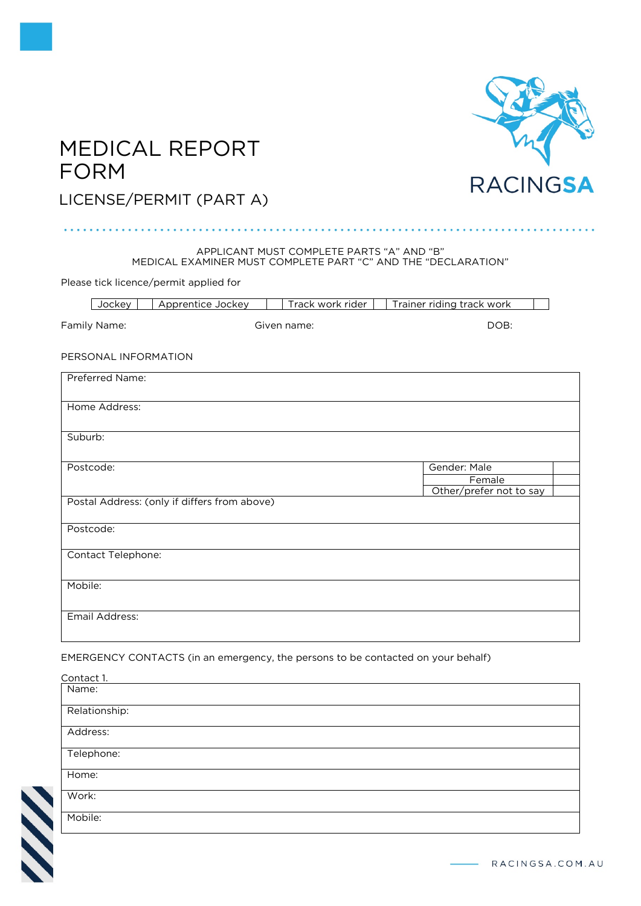

# MEDICAL REPORT FORM

# LICENSE/PERMIT (PART A)

### APPLICANT MUST COMPLETE PARTS "A" AND "B" MEDICAL EXAMINER MUST COMPLETE PART "C" AND THE "DECLARATION"

Please tick licence/permit applied for

| Jockey                      | Apprentice Jockey                            | Track work rider | Trainer riding track work |  |  |
|-----------------------------|----------------------------------------------|------------------|---------------------------|--|--|
| Family Name:<br>Given name: |                                              |                  | DOB:                      |  |  |
| PERSONAL INFORMATION        |                                              |                  |                           |  |  |
| Preferred Name:             |                                              |                  |                           |  |  |
| Home Address:               |                                              |                  |                           |  |  |
| Suburb:                     |                                              |                  |                           |  |  |
| Postcode:                   |                                              |                  | Gender: Male<br>Female    |  |  |
|                             | Postal Address: (only if differs from above) |                  | Other/prefer not to say   |  |  |
| Postcode:                   |                                              |                  |                           |  |  |
| Contact Telephone:          |                                              |                  |                           |  |  |
| Mobile:                     |                                              |                  |                           |  |  |
| Email Address:              |                                              |                  |                           |  |  |

EMERGENCY CONTACTS (in an emergency, the persons to be contacted on your behalf)

| Contact 1.    |  |
|---------------|--|
| Name:         |  |
| Relationship: |  |
| Address:      |  |
| Telephone:    |  |
| Home:         |  |
| Work:         |  |
| Mobile:       |  |

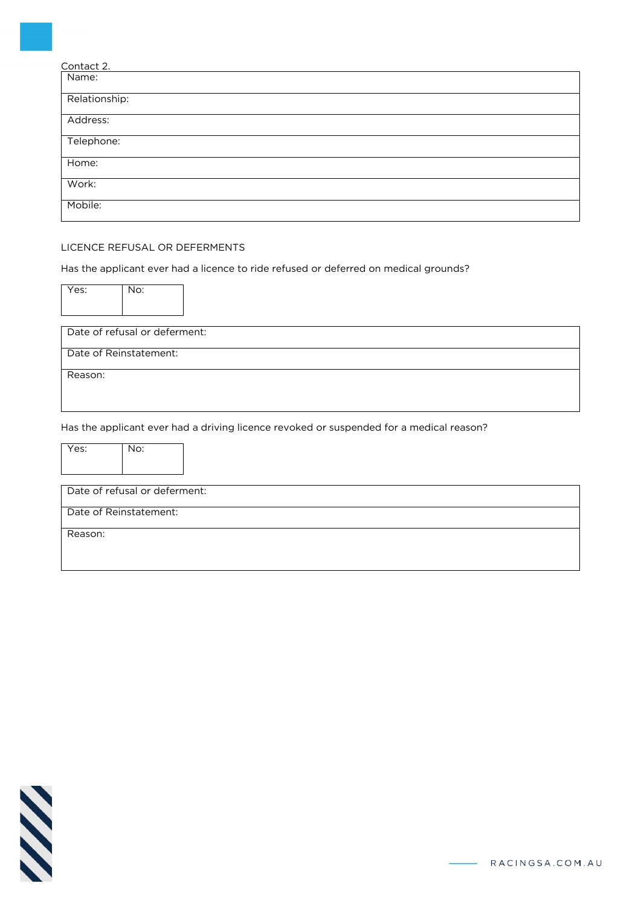| Contact 2.    |  |
|---------------|--|
| Name:         |  |
| Relationship: |  |
| Address:      |  |
| Telephone:    |  |
| Home:         |  |
| Work:         |  |
| Mobile:       |  |

# LICENCE REFUSAL OR DEFERMENTS

Has the applicant ever had a licence to ride refused or deferred on medical grounds?

| Yes:    | No:                           |                                                                                         |
|---------|-------------------------------|-----------------------------------------------------------------------------------------|
|         | Date of refusal or deferment: |                                                                                         |
|         | Date of Reinstatement:        |                                                                                         |
| Reason: |                               |                                                                                         |
|         |                               |                                                                                         |
|         |                               | Has the applicant ever had a driving licence revoked or suspended for a medical reason? |
| Yes:    | No:                           |                                                                                         |
|         | Date of refusal or deferment: |                                                                                         |
|         | Date of Reinstatement:        |                                                                                         |
| Reason: |                               |                                                                                         |

$$
\mathcal{N}\mathcal{N}
$$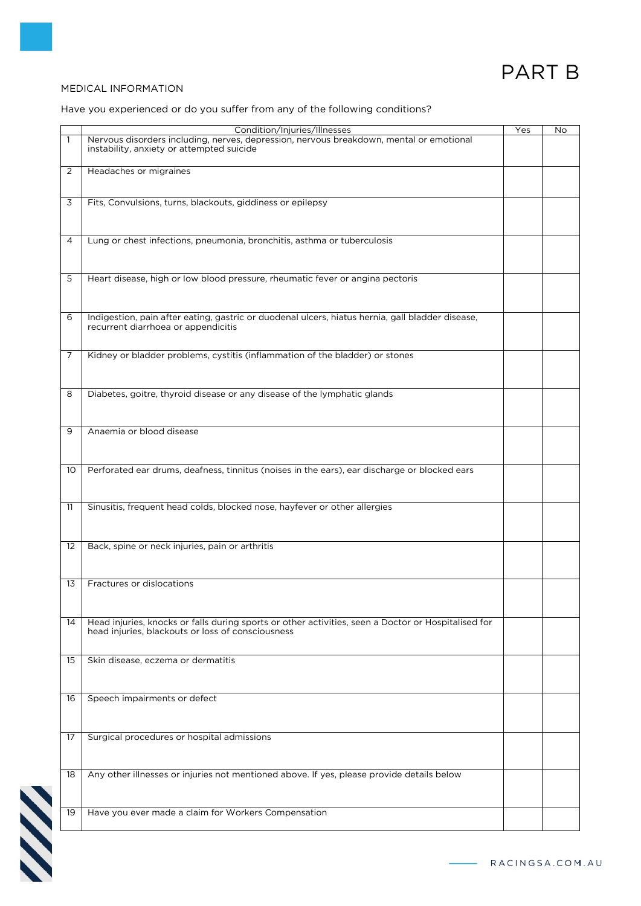# PART B

# MEDICAL INFORMATION

# Have you experienced or do you suffer from any of the following conditions?

|    | Condition/Injuries/Illnesses                                                                        | Yes | No |
|----|-----------------------------------------------------------------------------------------------------|-----|----|
| 1  | Nervous disorders including, nerves, depression, nervous breakdown, mental or emotional             |     |    |
|    | instability, anxiety or attempted suicide                                                           |     |    |
|    |                                                                                                     |     |    |
|    |                                                                                                     |     |    |
| 2  | Headaches or migraines                                                                              |     |    |
|    |                                                                                                     |     |    |
|    |                                                                                                     |     |    |
|    |                                                                                                     |     |    |
| 3  | Fits, Convulsions, turns, blackouts, giddiness or epilepsy                                          |     |    |
|    |                                                                                                     |     |    |
|    |                                                                                                     |     |    |
|    |                                                                                                     |     |    |
|    |                                                                                                     |     |    |
| 4  | Lung or chest infections, pneumonia, bronchitis, asthma or tuberculosis                             |     |    |
|    |                                                                                                     |     |    |
|    |                                                                                                     |     |    |
|    |                                                                                                     |     |    |
| 5  | Heart disease, high or low blood pressure, rheumatic fever or angina pectoris                       |     |    |
|    |                                                                                                     |     |    |
|    |                                                                                                     |     |    |
|    |                                                                                                     |     |    |
|    |                                                                                                     |     |    |
| 6  | Indigestion, pain after eating, gastric or duodenal ulcers, hiatus hernia, gall bladder disease,    |     |    |
|    |                                                                                                     |     |    |
|    | recurrent diarrhoea or appendicitis                                                                 |     |    |
|    |                                                                                                     |     |    |
|    |                                                                                                     |     |    |
| 7  | Kidney or bladder problems, cystitis (inflammation of the bladder) or stones                        |     |    |
|    |                                                                                                     |     |    |
|    |                                                                                                     |     |    |
|    |                                                                                                     |     |    |
|    |                                                                                                     |     |    |
| 8  | Diabetes, goitre, thyroid disease or any disease of the lymphatic glands                            |     |    |
|    |                                                                                                     |     |    |
|    |                                                                                                     |     |    |
|    |                                                                                                     |     |    |
|    |                                                                                                     |     |    |
| 9  | Anaemia or blood disease                                                                            |     |    |
|    |                                                                                                     |     |    |
|    |                                                                                                     |     |    |
|    |                                                                                                     |     |    |
|    |                                                                                                     |     |    |
| 10 | Perforated ear drums, deafness, tinnitus (noises in the ears), ear discharge or blocked ears        |     |    |
|    |                                                                                                     |     |    |
|    |                                                                                                     |     |    |
|    |                                                                                                     |     |    |
| 11 | Sinusitis, frequent head colds, blocked nose, hayfever or other allergies                           |     |    |
|    |                                                                                                     |     |    |
|    |                                                                                                     |     |    |
|    |                                                                                                     |     |    |
|    |                                                                                                     |     |    |
| 12 | Back, spine or neck injuries, pain or arthritis                                                     |     |    |
|    |                                                                                                     |     |    |
|    |                                                                                                     |     |    |
|    |                                                                                                     |     |    |
|    |                                                                                                     |     |    |
| 13 | Fractures or dislocations                                                                           |     |    |
|    |                                                                                                     |     |    |
|    |                                                                                                     |     |    |
|    |                                                                                                     |     |    |
| 14 |                                                                                                     |     |    |
|    | Head injuries, knocks or falls during sports or other activities, seen a Doctor or Hospitalised for |     |    |
|    | head injuries, blackouts or loss of consciousness                                                   |     |    |
|    |                                                                                                     |     |    |
|    |                                                                                                     |     |    |
| 15 | Skin disease, eczema or dermatitis                                                                  |     |    |
|    |                                                                                                     |     |    |
|    |                                                                                                     |     |    |
|    |                                                                                                     |     |    |
|    |                                                                                                     |     |    |
| 16 | Speech impairments or defect                                                                        |     |    |
|    |                                                                                                     |     |    |
|    |                                                                                                     |     |    |
|    |                                                                                                     |     |    |
|    |                                                                                                     |     |    |
| 17 | Surgical procedures or hospital admissions                                                          |     |    |
|    |                                                                                                     |     |    |
|    |                                                                                                     |     |    |
|    |                                                                                                     |     |    |
| 18 | Any other illnesses or injuries not mentioned above. If yes, please provide details below           |     |    |
|    |                                                                                                     |     |    |
|    |                                                                                                     |     |    |
|    |                                                                                                     |     |    |
|    |                                                                                                     |     |    |
| 19 | Have you ever made a claim for Workers Compensation                                                 |     |    |
|    |                                                                                                     |     |    |
|    |                                                                                                     |     |    |

**SSS**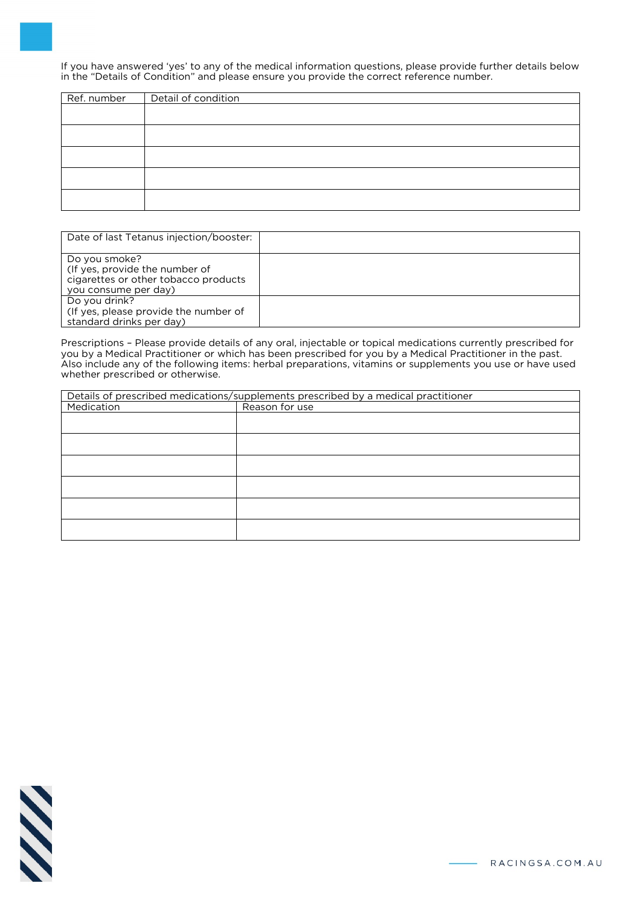If you have answered 'yes' to any of the medical information questions, please provide further details below in the "Details of Condition" and please ensure you provide the correct reference number.

| Ref. number   Detail of condition |
|-----------------------------------|
|                                   |
|                                   |
|                                   |
|                                   |
|                                   |
|                                   |
|                                   |
|                                   |
|                                   |
|                                   |

| Date of last Tetanus injection/booster:                                                                         |  |
|-----------------------------------------------------------------------------------------------------------------|--|
| Do you smoke?<br>(If yes, provide the number of<br>cigarettes or other tobacco products<br>you consume per day) |  |
| Do you drink?<br>(If yes, please provide the number of<br>standard drinks per day)                              |  |

Prescriptions – Please provide details of any oral, injectable or topical medications currently prescribed for you by a Medical Practitioner or which has been prescribed for you by a Medical Practitioner in the past. Also include any of the following items: herbal preparations, vitamins or supplements you use or have used whether prescribed or otherwise.

| Details of prescribed medications/supplements prescribed by a medical practitioner |                |  |
|------------------------------------------------------------------------------------|----------------|--|
| Medication                                                                         | Reason for use |  |
|                                                                                    |                |  |
|                                                                                    |                |  |
|                                                                                    |                |  |
|                                                                                    |                |  |
|                                                                                    |                |  |
|                                                                                    |                |  |
|                                                                                    |                |  |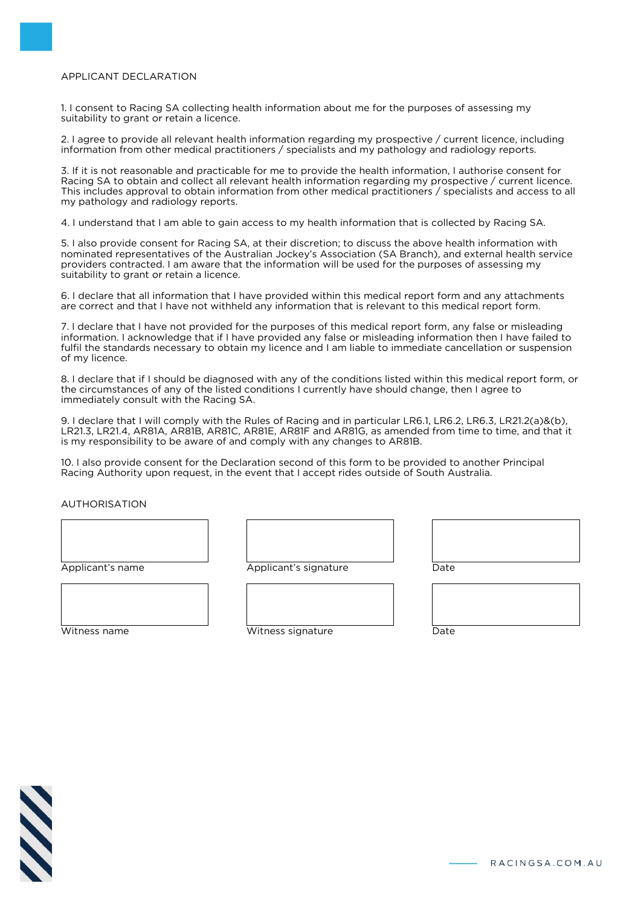# APPLICANT DECLARATION

1. I consent to Racing SA collecting health information about me for the purposes of assessing my suitability to grant or retain a licence.

2. I agree to provide all relevant health information regarding my prospective / current licence, including information from other medical practitioners / specialists and my pathology and radiology reports.

3. If it is not reasonable and practicable for me to provide the health information, I authorise consent for Racing SA to obtain and collect all relevant health information regarding my prospective / current licence. This includes approval to obtain information from other medical practitioners / specialists and access to all my pathology and radiology reports.

4. I understand that I am able to gain access to my health information that is collected by Racing SA.

5. I also provide consent for Racing SA, at their discretion; to discuss the above health information with nominated representatives of the Australian Jockey's Association (SA Branch), and external health service providers contracted. I am aware that the information will be used for the purposes of assessing my suitability to grant or retain a licence.

6. I declare that all information that I have provided within this medical report form and any attachments are correct and that I have not withheld any information that is relevant to this medical report form.

7. I declare that I have not provided for the purposes of this medical report form, any false or misleading information. I acknowledge that if I have provided any false or misleading information then I have failed to fulfil the standards necessary to obtain my licence and I am liable to immediate cancellation or suspension of my licence.

8. I declare that if I should be diagnosed with any of the conditions listed within this medical report form, or the circumstances of any of the listed conditions I currently have should change, then I agree to immediately consult with the Racing SA.

9. I declare that I will comply with the Rules of Racing and in particular LR6.1, LR6.2, LR6.3, LR21.2(a)&(b), LR21.3, LR21.4, AR81A, AR81B, AR81C, AR81E, AR81F and AR81G, as amended from time to time, and that it is my responsibility to be aware of and comply with any changes to AR81B.

10. I also provide consent for the Declaration second of this form to be provided to another Principal Racing Authority upon request, in the event that I accept rides outside of South Australia.

AUTHORISATION

Applicant's name

Date

Witness name

Applicant's signature



Witness signature

Date



RACINGSA.COM.AU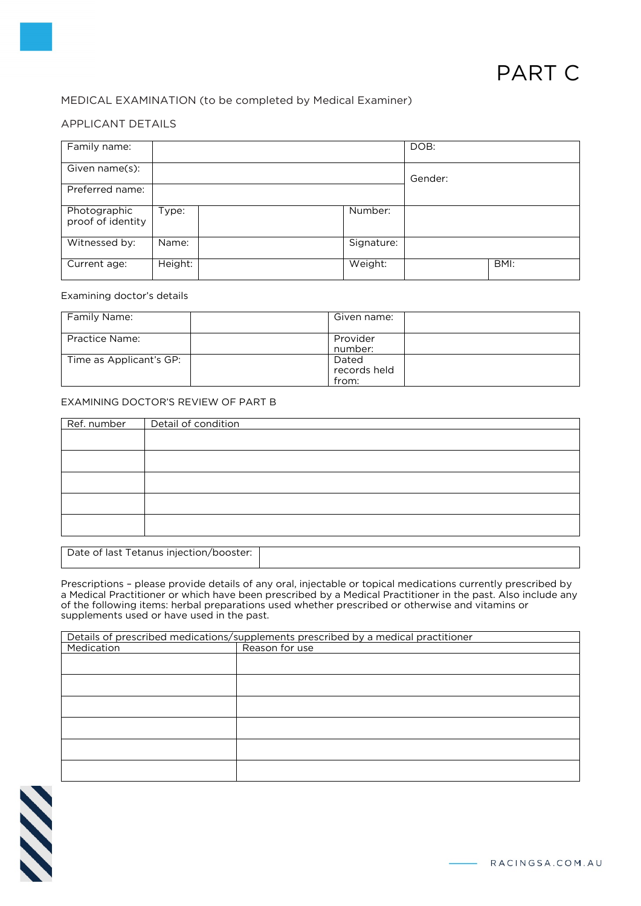# MEDICAL EXAMINATION (to be completed by Medical Examiner)

# APPLICANT DETAILS

| Family name:                      |         |            | DOB:    |      |
|-----------------------------------|---------|------------|---------|------|
| Given name(s):                    |         |            | Gender: |      |
| Preferred name:                   |         |            |         |      |
| Photographic<br>proof of identity | Type:   | Number:    |         |      |
| Witnessed by:                     | Name:   | Signature: |         |      |
| Current age:                      | Height: | Weight:    |         | BMI: |

#### Examining doctor's details

| Family Name:            | Given name:                    |
|-------------------------|--------------------------------|
| Practice Name:          | Provider<br>number:            |
| Time as Applicant's GP: | Dated<br>records held<br>from: |

#### EXAMINING DOCTOR'S REVIEW OF PART B

| Ref. number | Detail of condition |
|-------------|---------------------|
|             |                     |
|             |                     |
|             |                     |
|             |                     |
|             |                     |

Date of last Tetanus injection/booster:

Prescriptions – please provide details of any oral, injectable or topical medications currently prescribed by a Medical Practitioner or which have been prescribed by a Medical Practitioner in the past. Also include any of the following items: herbal preparations used whether prescribed or otherwise and vitamins or supplements used or have used in the past.

|            | Details of prescribed medications/supplements prescribed by a medical practitioner |
|------------|------------------------------------------------------------------------------------|
| Medication | Reason for use                                                                     |
|            |                                                                                    |
|            |                                                                                    |
|            |                                                                                    |
|            |                                                                                    |
|            |                                                                                    |
|            |                                                                                    |
|            |                                                                                    |
|            |                                                                                    |
|            |                                                                                    |
|            |                                                                                    |
|            |                                                                                    |
|            |                                                                                    |

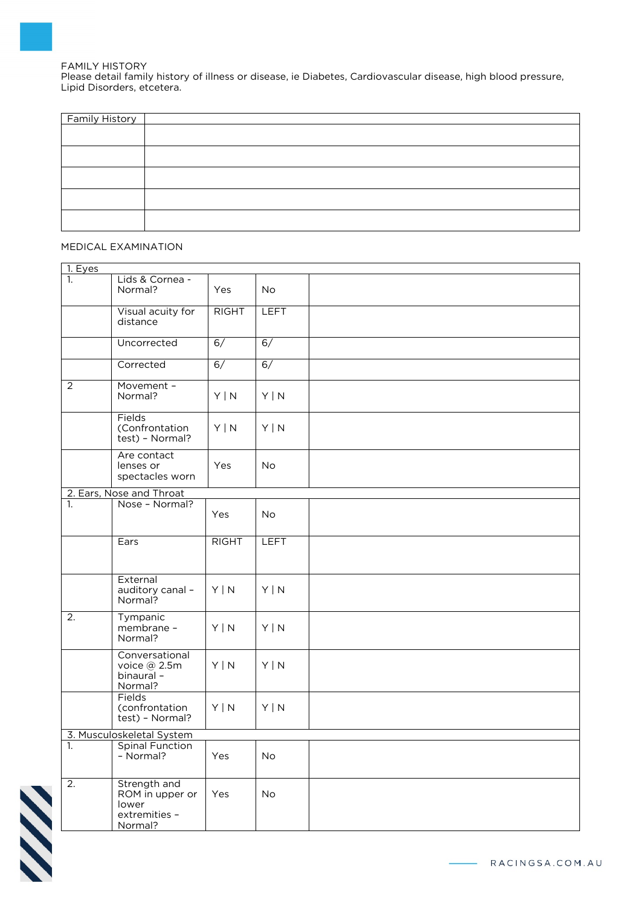FAMILY HISTORY Please detail family history of illness or disease, ie Diabetes, Cardiovascular disease, high blood pressure, Lipid Disorders, etcetera.

| <b>Family History</b> |  |
|-----------------------|--|
|                       |  |
|                       |  |
|                       |  |
|                       |  |
|                       |  |
|                       |  |

### MEDICAL EXAMINATION

| 1. Eyes                   |                                                                      |              |             |  |  |  |
|---------------------------|----------------------------------------------------------------------|--------------|-------------|--|--|--|
| 1.                        | Lids & Cornea -<br>Normal?                                           | Yes          | <b>No</b>   |  |  |  |
|                           | Visual acuity for<br>distance                                        | <b>RIGHT</b> | <b>LEFT</b> |  |  |  |
|                           | Uncorrected                                                          | 6/           | 6/          |  |  |  |
|                           | Corrected                                                            | 6/           | 6/          |  |  |  |
| 2                         | Movement -<br>Normal?                                                | $Y \mid N$   | $Y \mid N$  |  |  |  |
|                           | Fields<br>(Confrontation<br>test) - Normal?                          | Y   N        | Y   N       |  |  |  |
|                           | Are contact<br>lenses or<br>spectacles worn                          | Yes          | No          |  |  |  |
|                           | 2. Ears, Nose and Throat                                             |              |             |  |  |  |
| 1.                        | Nose - Normal?                                                       | Yes          | No          |  |  |  |
|                           | Ears                                                                 | <b>RIGHT</b> | <b>LEFT</b> |  |  |  |
|                           | External<br>auditory canal -<br>Normal?                              | $Y \mid N$   | Y   N       |  |  |  |
| 2.                        | Tympanic<br>membrane -<br>Normal?                                    | Y   N        | Y   N       |  |  |  |
|                           | Conversational<br>voice @ 2.5m<br>binaural-<br>Normal?               | $Y \mid N$   | Y   N       |  |  |  |
|                           | Fields<br>(confrontation<br>test) - Normal?                          | $Y \mid N$   | $Y \mid N$  |  |  |  |
| 3. Musculoskeletal System |                                                                      |              |             |  |  |  |
| 1.                        | Spinal Function<br>- Normal?                                         | Yes          | No          |  |  |  |
| $\overline{2}$ .          | Strength and<br>ROM in upper or<br>lower<br>extremities -<br>Normal? | Yes          | <b>No</b>   |  |  |  |

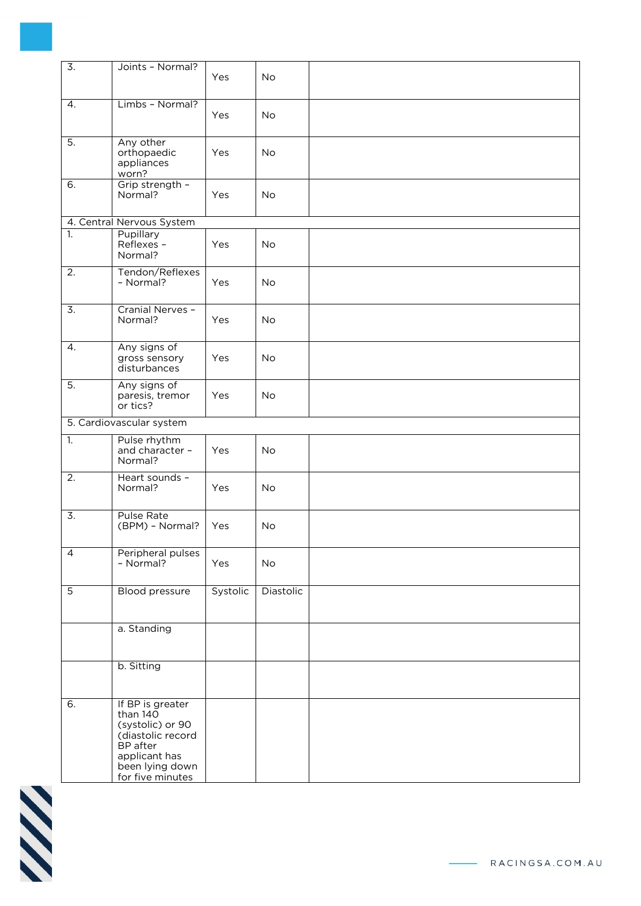| $\overline{3}$ . | Joints - Normal?                                                                                                                          |          |           |  |
|------------------|-------------------------------------------------------------------------------------------------------------------------------------------|----------|-----------|--|
|                  |                                                                                                                                           | Yes      | <b>No</b> |  |
| 4.               | Limbs - Normal?                                                                                                                           | Yes      | No        |  |
| 5.               | Any other<br>orthopaedic<br>appliances<br>worn?                                                                                           | Yes      | No        |  |
| 6.               | Grip strength -<br>Normal?                                                                                                                | Yes      | <b>No</b> |  |
|                  | 4. Central Nervous System                                                                                                                 |          |           |  |
| 1.               | Pupillary<br>Reflexes -<br>Normal?                                                                                                        | Yes      | No        |  |
| 2.               | Tendon/Reflexes<br>- Normal?                                                                                                              | Yes      | No        |  |
| $\overline{3}$ . | Cranial Nerves -<br>Normal?                                                                                                               | Yes      | No        |  |
| 4.               | Any signs of<br>gross sensory<br>disturbances                                                                                             | Yes      | No        |  |
| 5.               | Any signs of<br>paresis, tremor<br>or tics?                                                                                               | Yes      | No        |  |
|                  | 5. Cardiovascular system                                                                                                                  |          |           |  |
| 1.               | Pulse rhythm<br>and character -<br>Normal?                                                                                                | Yes      | No        |  |
| 2.               | Heart sounds -<br>Normal?                                                                                                                 | Yes      | No        |  |
| $\overline{3}$ . | <b>Pulse Rate</b><br>(BPM) - Normal?                                                                                                      | Yes      | No        |  |
| $\overline{4}$   | Peripheral pulses<br>- Normal?                                                                                                            | Yes      | No        |  |
| $\overline{5}$   | <b>Blood pressure</b>                                                                                                                     | Systolic | Diastolic |  |
|                  | a. Standing                                                                                                                               |          |           |  |
|                  | b. Sitting                                                                                                                                |          |           |  |
| 6.               | If BP is greater<br>than 140<br>(systolic) or 90<br>(diastolic record<br>BP after<br>applicant has<br>been lying down<br>for five minutes |          |           |  |

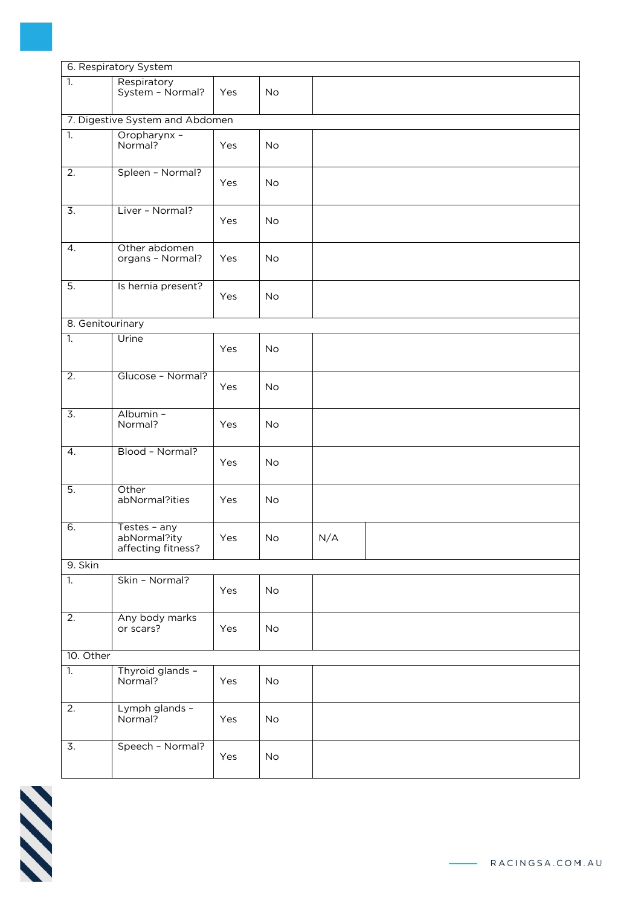| 6. Respiratory System |                                                    |     |           |     |  |
|-----------------------|----------------------------------------------------|-----|-----------|-----|--|
| $\overline{1}$ .      | Respiratory<br>System - Normal?                    | Yes | No        |     |  |
|                       | 7. Digestive System and Abdomen                    |     |           |     |  |
| 1.                    | Oropharynx -<br>Normal?                            | Yes | <b>No</b> |     |  |
| $\overline{2}$ .      | Spleen - Normal?                                   | Yes | No        |     |  |
| $\overline{3}$ .      | Liver - Normal?                                    | Yes | No        |     |  |
| $\overline{4}$ .      | Other abdomen<br>organs - Normal?                  | Yes | No        |     |  |
| 5.                    | Is hernia present?                                 | Yes | No        |     |  |
| 8. Genitourinary      |                                                    |     |           |     |  |
| 1.                    | Urine                                              | Yes | No        |     |  |
| 2.                    | Glucose - Normal?                                  | Yes | No        |     |  |
| $\overline{3}$ .      | Albumin -<br>Normal?                               | Yes | No        |     |  |
| $\overline{4}$ .      | Blood - Normal?                                    | Yes | No        |     |  |
| $\overline{5}$ .      | Other<br>abNormal?ities                            | Yes | No        |     |  |
| 6.                    | Testes - any<br>abNormal?ity<br>affecting fitness? | Yes | <b>No</b> | N/A |  |
| 9. Skin               |                                                    |     |           |     |  |
| 1.                    | Skin - Normal?                                     | Yes | <b>No</b> |     |  |
| $\overline{2}$ .      | Any body marks<br>or scars?                        | Yes | No        |     |  |
| 10. Other             |                                                    |     |           |     |  |
| 1.                    | Thyroid glands -<br>Normal?                        | Yes | No        |     |  |
| $\overline{2}$ .      | Lymph glands -<br>Normal?                          | Yes | No        |     |  |
| $\overline{3}$ .      | Speech - Normal?                                   | Yes | No        |     |  |

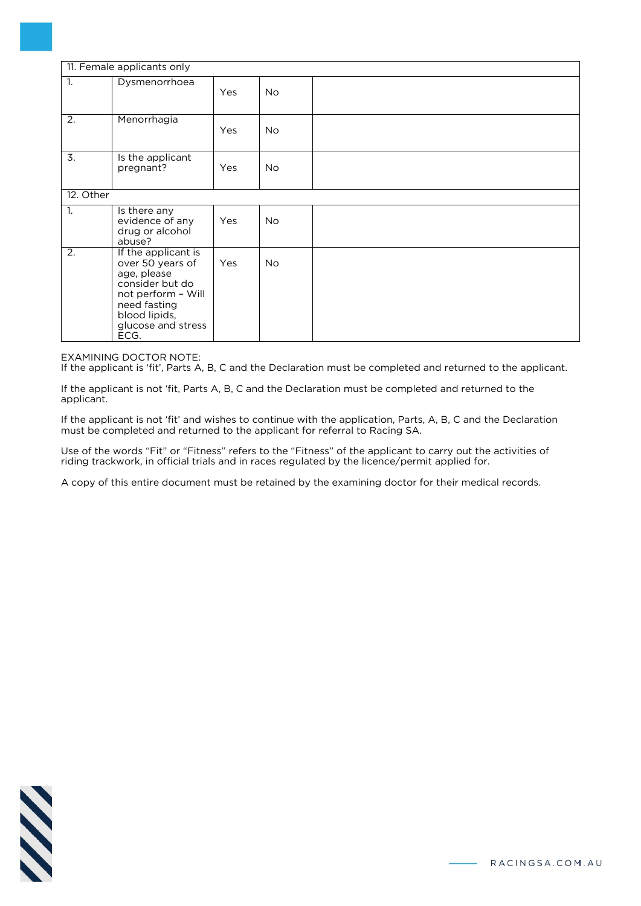| 11. Female applicants only |                                                                                                                                                                |     |           |  |
|----------------------------|----------------------------------------------------------------------------------------------------------------------------------------------------------------|-----|-----------|--|
| 1.                         | Dysmenorrhoea                                                                                                                                                  | Yes | <b>No</b> |  |
| 2.                         | Menorrhagia                                                                                                                                                    | Yes | <b>No</b> |  |
| 3.                         | Is the applicant<br>pregnant?                                                                                                                                  | Yes | <b>No</b> |  |
| 12. Other                  |                                                                                                                                                                |     |           |  |
| 1.                         | Is there any<br>evidence of any<br>drug or alcohol<br>abuse?                                                                                                   | Yes | <b>No</b> |  |
| 2.                         | If the applicant is<br>over 50 years of<br>age, please<br>consider but do<br>not perform - Will<br>need fasting<br>blood lipids,<br>glucose and stress<br>ECG. | Yes | No.       |  |

EXAMINING DOCTOR NOTE:

If the applicant is 'fit', Parts A, B, C and the Declaration must be completed and returned to the applicant.

If the applicant is not 'fit, Parts A, B, C and the Declaration must be completed and returned to the applicant.

If the applicant is not 'fit' and wishes to continue with the application, Parts, A, B, C and the Declaration must be completed and returned to the applicant for referral to Racing SA.

Use of the words "Fit" or "Fitness" refers to the "Fitness" of the applicant to carry out the activities of riding trackwork, in official trials and in races regulated by the licence/permit applied for.

A copy of this entire document must be retained by the examining doctor for their medical records.

$$
\mathcal{N}\mathcal{N}
$$